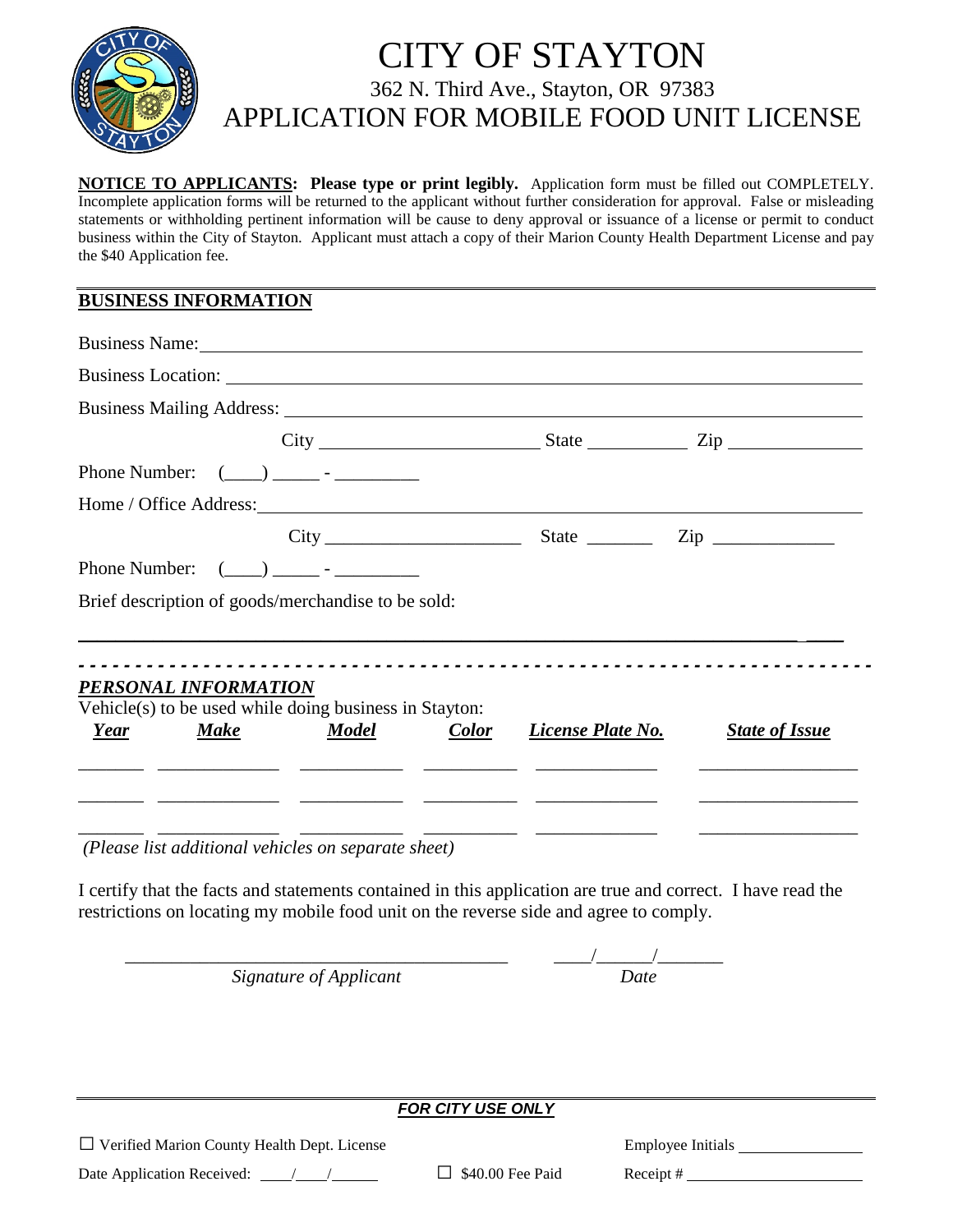

## CITY OF STAYTON 362 N. Third Ave., Stayton, OR 97383 APPLICATION FOR MOBILE FOOD UNIT LICENSE

**NOTICE TO APPLICANTS: Please type or print legibly.** Application form must be filled out COMPLETELY. Incomplete application forms will be returned to the applicant without further consideration for approval. False or misleading statements or withholding pertinent information will be cause to deny approval or issuance of a license or permit to conduct business within the City of Stayton. Applicant must attach a copy of their Marion County Health Department License and pay the \$40 Application fee.

## **BUSINESS INFORMATION**

|                      | Business Name: Name:                                   |              |                   |                            |  |
|----------------------|--------------------------------------------------------|--------------|-------------------|----------------------------|--|
|                      |                                                        |              |                   |                            |  |
|                      |                                                        |              |                   |                            |  |
|                      |                                                        |              |                   |                            |  |
|                      | Phone Number: $(\_\_) \_\_$ - $\_\_$                   |              |                   |                            |  |
|                      |                                                        |              |                   |                            |  |
|                      |                                                        |              |                   | $City$ $Size$ $Line$ $Zip$ |  |
|                      | Phone Number: $(\_\_) \_\_$ - $\_\_$ -                 |              |                   |                            |  |
|                      | Brief description of goods/merchandise to be sold:     |              |                   |                            |  |
|                      |                                                        |              |                   |                            |  |
|                      |                                                        |              |                   |                            |  |
| PERSONAL INFORMATION | Vehicle(s) to be used while doing business in Stayton: |              |                   |                            |  |
| <b>Make</b><br>Year  | <b>Model</b>                                           | <b>Color</b> | License Plate No. | <b>State of Issue</b>      |  |
|                      |                                                        |              |                   |                            |  |
|                      |                                                        |              |                   |                            |  |
|                      |                                                        |              |                   |                            |  |
|                      | (Please list additional vehicles on separate sheet)    |              |                   |                            |  |

 *(Please list additional vehicles on separate sheet)* 

I certify that the facts and statements contained in this application are true and correct. I have read the restrictions on locating my mobile food unit on the reverse side and agree to comply.

*Signature of Applicant* 

 $\frac{1}{\frac{Date}{}}$ 

*FOR CITY USE ONLY*

*□* Verified Marion County Health Dept. License Employee Initials

Date Application Received: <u>/ / /</u> □ \$40.00 Fee Paid Receipt #